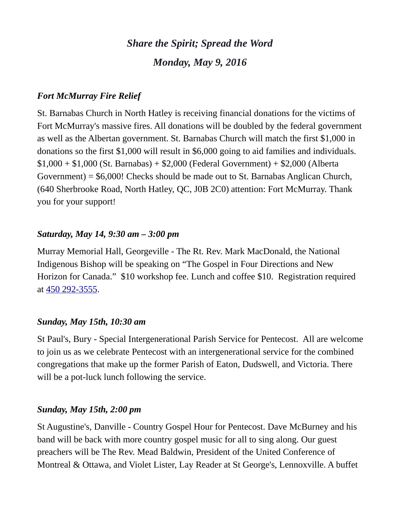# *Share the Spirit; Spread the Word Monday, May 9, 2016*

## *Fort McMurray Fire Relief*

St. Barnabas Church in North Hatley is receiving financial donations for the victims of Fort McMurray's massive fires. All donations will be doubled by the federal government as well as the Albertan government. St. Barnabas Church will match the first \$1,000 in donations so the first \$1,000 will result in \$6,000 going to aid families and individuals.  $$1,000 + $1,000$  (St. Barnabas) +  $$2,000$  (Federal Government) +  $$2,000$  (Alberta Government) = \$6,000! Checks should be made out to St. Barnabas Anglican Church, (640 Sherbrooke Road, North Hatley, QC, J0B 2C0) attention: Fort McMurray. Thank you for your support!

#### *Saturday, May 14, 9:30 am – 3:00 pm*

Murray Memorial Hall, Georgeville - The Rt. Rev. Mark MacDonald, the National Indigenous Bishop will be speaking on "The Gospel in Four Directions and New Horizon for Canada." \$10 workshop fee. Lunch and coffee \$10. Registration required at [450 292-3555.](tel:450%20292-3555)

## *Sunday, May 15th, 10:30 am*

St Paul's, Bury - Special Intergenerational Parish Service for Pentecost. All are welcome to join us as we celebrate Pentecost with an intergenerational service for the combined congregations that make up the former Parish of Eaton, Dudswell, and Victoria. There will be a pot-luck lunch following the service.

## *Sunday, May 15th, 2:00 pm*

St Augustine's, Danville - Country Gospel Hour for Pentecost. Dave McBurney and his band will be back with more country gospel music for all to sing along. Our guest preachers will be The Rev. Mead Baldwin, President of the United Conference of Montreal & Ottawa, and Violet Lister, Lay Reader at St George's, Lennoxville. A buffet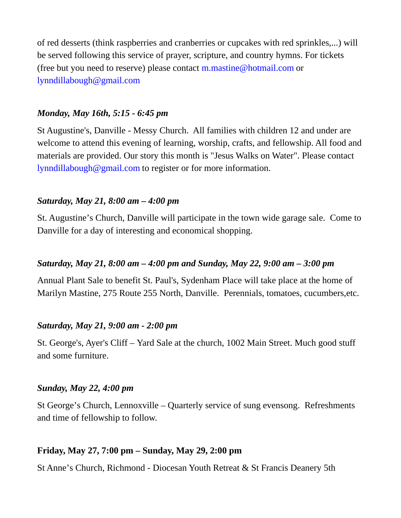of red desserts (think raspberries and cranberries or cupcakes with red sprinkles,...) will be served following this service of prayer, scripture, and country hymns. For tickets (free but you need to reserve) please contact  $m$ . mastine  $\omega$  hotmail.com or [lynndillabough@gmail.com](https://webmail.ubishops.ca/owa/redir.aspx?REF=NTGHZBda4kbPNeYfbGRb6HgoD69E4VoJaguVXMRTEm2jm5WgJnTTCAFtYWlsdG86bHlubmRpbGxhYm91Z2hAZ21haWwuY29t)

#### *Monday, May 16th, 5:15 - 6:45 pm*

St Augustine's, Danville - Messy Church. All families with children 12 and under are welcome to attend this evening of learning, worship, crafts, and fellowship. All food and materials are provided. Our story this month is "Jesus Walks on Water". Please contact [lynndillabough@gmail.com](https://webmail.ubishops.ca/owa/redir.aspx?REF=NTGHZBda4kbPNeYfbGRb6HgoD69E4VoJaguVXMRTEm2jm5WgJnTTCAFtYWlsdG86bHlubmRpbGxhYm91Z2hAZ21haWwuY29t) to register or for more information.

#### *Saturday, May 21, 8:00 am – 4:00 pm*

St. Augustine's Church, Danville will participate in the town wide garage sale. Come to Danville for a day of interesting and economical shopping.

#### *Saturday, May 21, 8:00 am – 4:00 pm and Sunday, May 22, 9:00 am – 3:00 pm*

Annual Plant Sale to benefit St. Paul's, Sydenham Place will take place at the home of Marilyn Mastine, 275 Route 255 North, Danville. Perennials, tomatoes, cucumbers,etc.

#### *Saturday, May 21, 9:00 am - 2:00 pm*

St. George's, Ayer's Cliff – Yard Sale at the church, 1002 Main Street. Much good stuff and some furniture.

#### *Sunday, May 22, 4:00 pm*

St George's Church, Lennoxville – Quarterly service of sung evensong. Refreshments and time of fellowship to follow.

#### **Friday, May 27, 7:00 pm – Sunday, May 29, 2:00 pm**

St Anne's Church, Richmond - Diocesan Youth Retreat & St Francis Deanery 5th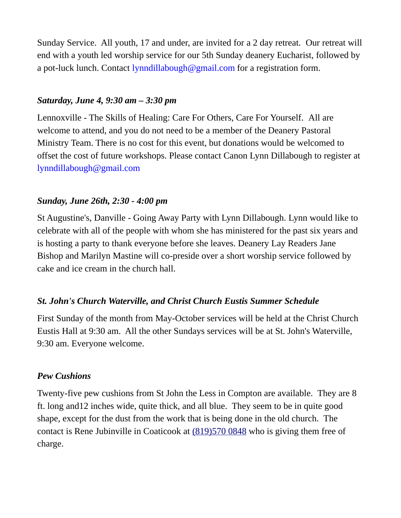Sunday Service. All youth, 17 and under, are invited for a 2 day retreat. Our retreat will end with a youth led worship service for our 5th Sunday deanery Eucharist, followed by a pot-luck lunch. Contact [lynndillabough@gmail.com](https://webmail.ubishops.ca/owa/redir.aspx?REF=E0UZUrCIOcgLF1G_4qECzq3OrI1Fn6f2O_cEChPNSZXMHau5IF7TCAFtYWlsdG86bHlubmRpbGxhYm91Z2hAZ21haWwuY29t) for a registration form.

## *Saturday, June 4, 9:30 am – 3:30 pm*

Lennoxville - The Skills of Healing: Care For Others, Care For Yourself. All are welcome to attend, and you do not need to be a member of the Deanery Pastoral Ministry Team. There is no cost for this event, but donations would be welcomed to offset the cost of future workshops. Please contact Canon Lynn Dillabough to register at [lynndillabough@gmail.com](https://webmail.ubishops.ca/owa/redir.aspx?SURL=hdjYUT7WCUNYqFZijozknMHWJ3aRy6vsqTzrilp56ZtP3_2s-BXTCG0AYQBpAGwAdABvADoAbAB5AG4AbgBkAGkAbABsAGEAYgBvAHUAZwBoAEAAZwBtAGEAaQBsAC4AYwBvAG0A&URL=mailto%3Alynndillabough@gmail.com)

## *Sunday, June 26th, 2:30 - 4:00 pm*

St Augustine's, Danville - Going Away Party with Lynn Dillabough. Lynn would like to celebrate with all of the people with whom she has ministered for the past six years and is hosting a party to thank everyone before she leaves. Deanery Lay Readers Jane Bishop and Marilyn Mastine will co-preside over a short worship service followed by cake and ice cream in the church hall.

## *St. John's Church Waterville, and Christ Church Eustis Summer Schedule*

First Sunday of the month from May-October services will be held at the Christ Church Eustis Hall at 9:30 am. All the other Sundays services will be at St. John's Waterville, 9:30 am. Everyone welcome.

#### *Pew Cushions*

Twenty-five pew cushions from St John the Less in Compton are available. They are 8 ft. long and12 inches wide, quite thick, and all blue. They seem to be in quite good shape, except for the dust from the work that is being done in the old church. The contact is Rene Jubinville in Coaticook at [\(819\)570 0848](tel:(819)570%200848) who is giving them free of charge.